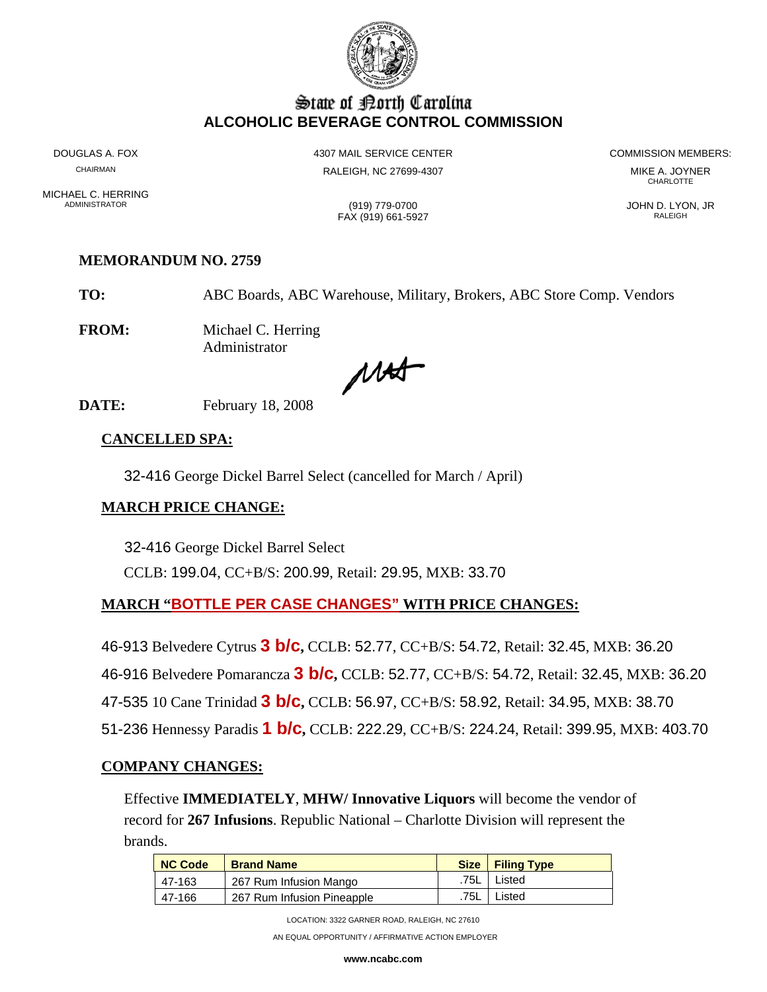

# State of Borth Carolina **ALCOHOLIC BEVERAGE CONTROL COMMISSION**

MICHAEL C. HERRING<br>ADMINISTRATOR

DOUGLAS A. FOX **A COMMISSION MEMBERS:** 4307 MAIL SERVICE CENTER **A COMMISSION MEMBERS:** CHAIRMAN RALEIGH, NC 27699-4307 MIKE A. JOYNER

**CHARLOTTE** 

FAX (919) 661-5927 RALEIGH

ADMINISTRATOR (919) 779-0700 JOHN D. LYON, JR

# **MEMORANDUM NO. 2759**

**TO:** ABC Boards, ABC Warehouse, Military, Brokers, ABC Store Comp. Vendors

**FROM:** Michael C. Herring Administrator

MAS

**DATE:** February 18, 2008

#### **CANCELLED SPA:**

32-416 George Dickel Barrel Select (cancelled for March / April)

# **MARCH PRICE CHANGE:**

32-416 George Dickel Barrel Select CCLB: 199.04, CC+B/S: 200.99, Retail: 29.95, MXB: 33.70

# **MARCH "BOTTLE PER CASE CHANGES" WITH PRICE CHANGES:**

46-913 Belvedere Cytrus **3 b/c,** CCLB: 52.77, CC+B/S: 54.72, Retail: 32.45, MXB: 36.20 46-916 Belvedere Pomarancza **3 b/c,** CCLB: 52.77, CC+B/S: 54.72, Retail: 32.45, MXB: 36.20 47-535 10 Cane Trinidad **3 b/c,** CCLB: 56.97, CC+B/S: 58.92, Retail: 34.95, MXB: 38.70 51-236 Hennessy Paradis **1 b/c,** CCLB: 222.29, CC+B/S: 224.24, Retail: 399.95, MXB: 403.70

#### **COMPANY CHANGES:**

Effective **IMMEDIATELY**, **MHW/ Innovative Liquors** will become the vendor of record for **267 Infusions**. Republic National – Charlotte Division will represent the brands.

| <b>NC Code</b> | <b>Brand Name</b>          |      | Size   Filing Type |
|----------------|----------------------------|------|--------------------|
| 47-163         | 267 Rum Infusion Mango     | .75L | Listed             |
| 47-166         | 267 Rum Infusion Pineapple | .75L | Listed             |

LOCATION: 3322 GARNER ROAD, RALEIGH, NC 27610

AN EQUAL OPPORTUNITY / AFFIRMATIVE ACTION EMPLOYER